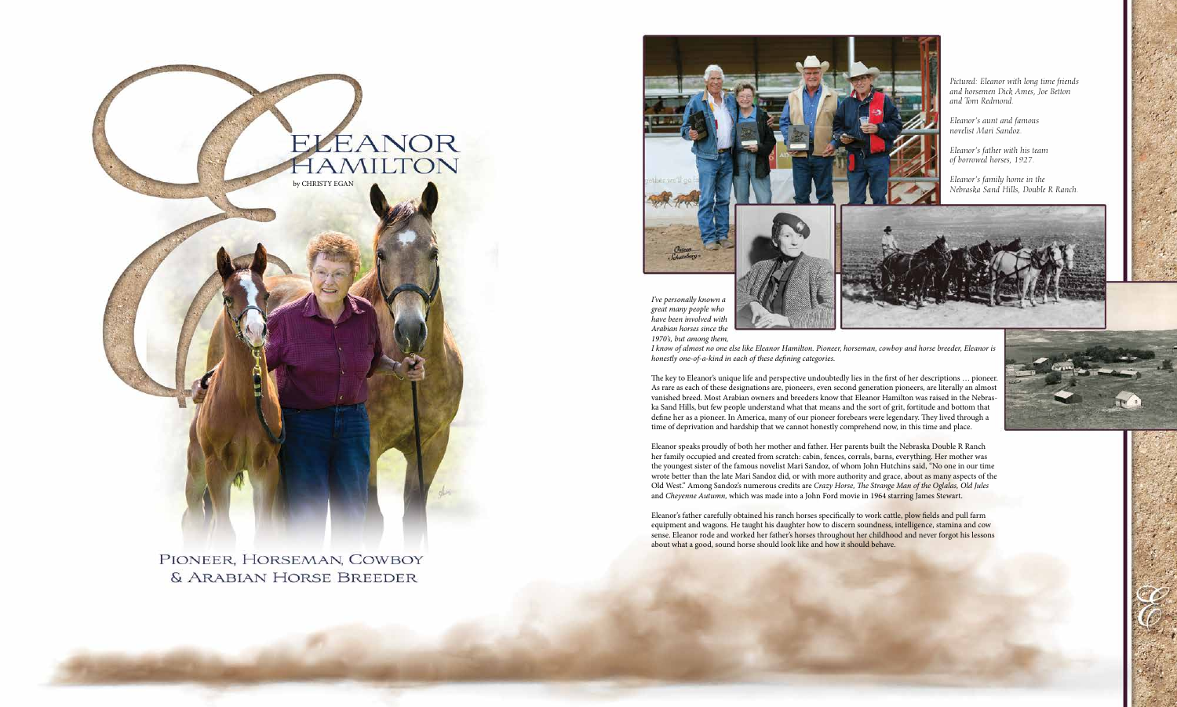

PIONEER, HORSEMAN, COWBOY & ARABIAN HORSE BREEDER

*1970's, but among them,* 

*I know of almost no one else like Eleanor Hamilton. Pioneer, horseman, cowboy and horse breeder, Eleanor is honestly one-of-a-kind in each of these defining categories.* 



The key to Eleanor's unique life and perspective undoubtedly lies in the first of her descriptions … pioneer. As rare as each of these designations are, pioneers, even second generation pioneers, are literally an almost vanished breed. Most Arabian owners and breeders know that Eleanor Hamilton was raised in the Nebraska Sand Hills, but few people understand what that means and the sort of grit, fortitude and bottom that define her as a pioneer. In America, many of our pioneer forebears were legendary. They lived through a time of deprivation and hardship that we cannot honestly comprehend now, in this time and place.

Eleanor's father carefully obtained his ranch horses specifically to work cattle, plow fields and pull farm equipment and wagons. He taught his daughter how to discern soundness, intelligence, stamina and cow sense. Eleanor rode and worked her father's horses throughout her childhood and never forgot his lessons about what a good, sound horse should look like and how it should behave.



Eleanor speaks proudly of both her mother and father. Her parents built the Nebraska Double R Ranch her family occupied and created from scratch: cabin, fences, corrals, barns, everything. Her mother was the youngest sister of the famous novelist Mari Sandoz, of whom John Hutchins said, "No one in our time wrote better than the late Mari Sandoz did, or with more authority and grace, about as many aspects of the Old West." Among Sandoz's numerous credits are *Crazy Horse, The Strange Man of the Oglalas, Old Jules* and *Cheyenne Autumn,* which was made into a John Ford movie in 1964 starring James Stewart.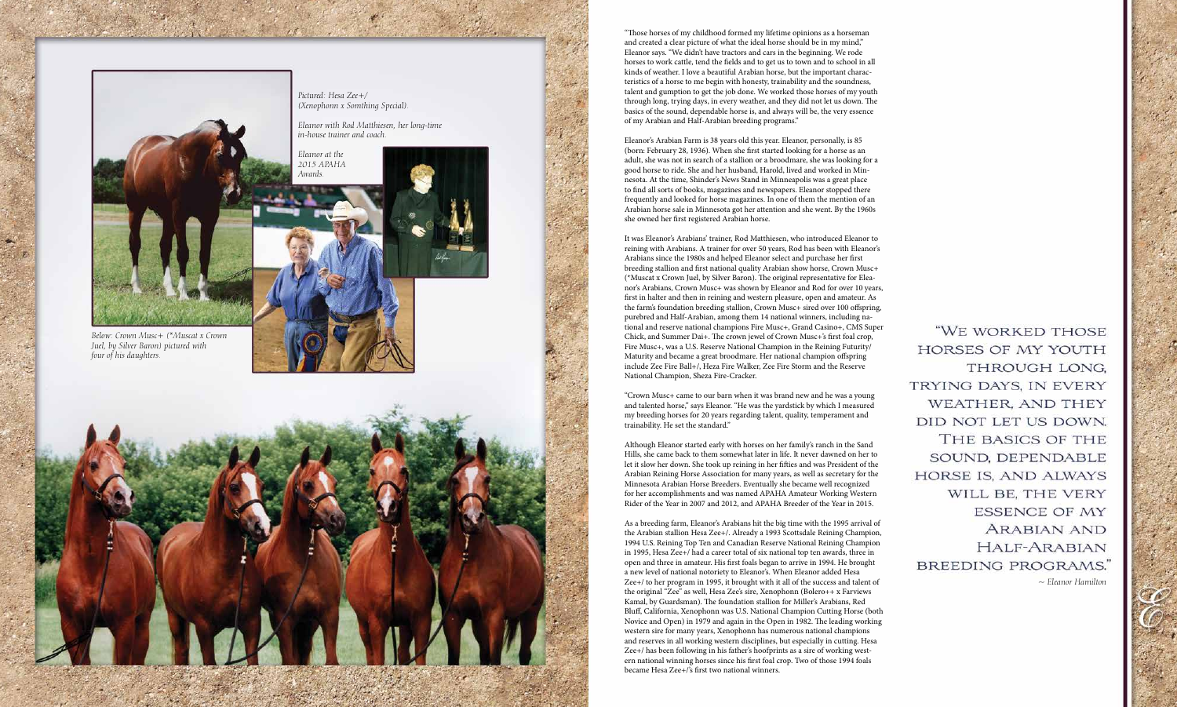*Pictured: Hesa Zee+/ (Xenophonn x Somthing Special).* 

*Eleanor with Rod Matthiesen, her long-time in-house trainer and coach.*

*Eleanor at the 2015 APAHA Awards.*





*Below: Crown Musc+ (\*Muscat x Crown Juel, by Silver Baron) pictured with four of his daughters.*

"Those horses of my childhood formed my lifetime opinions as a horseman and created a clear picture of what the ideal horse should be in my mind," Eleanor says. "We didn't have tractors and cars in the beginning. We rode horses to work cattle, tend the fields and to get us to town and to school in all kinds of weather. I love a beautiful Arabian horse, but the important charac teristics of a horse to me begin with honesty, trainability and the soundness, talent and gumption to get the job done. We worked those horses of my youth through long, trying days, in every weather, and they did not let us down. The basics of the sound, dependable horse is, and always will be, the very essence of my Arabian and Half-Arabian breeding programs."

Eleanor's Arabian Farm is 38 years old this year. Eleanor, personally, is 85 (born: February 28, 1936). When she first started looking for a horse as an adult, she was not in search of a stallion or a broodmare, she was looking for a good horse to ride. She and her husband, Harold, lived and worked in Min nesota. At the time, Shinder's News Stand in Minneapolis was a great place to find all sorts of books, magazines and newspapers. Eleanor stopped there frequently and looked for horse magazines. In one of them the mention of an Arabian horse sale in Minnesota got her attention and she went. By the 1960s she owned her first registered Arabian horse.

It was Eleanor's Arabians' trainer, Rod Matthiesen, who introduced Eleanor to reining with Arabians. A trainer for over 50 years, Rod has been with Eleanor's Arabians since the 1980s and helped Eleanor select and purchase her first breeding stallion and first national quality Arabian show horse, Crown Musc+ (\*Muscat x Crown Juel, by Silver Baron). The original representative for Elea nor's Arabians, Crown Musc+ was shown by Eleanor and Rod for over 10 years, first in halter and then in reining and western pleasure, open and amateur. As the farm's foundation breeding stallion, Crown Musc+ sired over 100 offspring, purebred and Half-Arabian, among them 14 national winners, including na tional and reserve national champions Fire Musc+, Grand Casino+, CMS Super Chick, and Summer Dai+. The crown jewel of Crown Musc+'s first foal crop, Fire Musc+, was a U.S. Reserve National Champion in the Reining Futurity/ Maturity and became a great broodmare. Her national champion offspring include Zee Fire Ball+/, Heza Fire Walker, Zee Fire Storm and the Reserve National Champion, Sheza Fire-Cracker.

"WE WORKED THOSE HORSES OF MY YOUTH THROUGH LONG. TRYING DAYS, IN EVERY WEATHER, AND THEY DID NOT LET US DOWN. THE BASICS OF THE SOUND, DEPENDABLE HORSE IS, AND ALWAYS WILL BE, THE VERY **ESSENCE OF MY** ARABIAN AND HALF-ARABIAN BREEDING PROGRAMS. *~ Eleanor Hamilton*

"Crown Musc+ came to our barn when it was brand new and he was a young and talented horse," says Eleanor. "He was the yardstick by which I measured my breeding horses for 20 years regarding talent, quality, temperament and trainability. He set the standard."

Although Eleanor started early with horses on her family's ranch in the Sand Hills, she came back to them somewhat later in life. It never dawned on her to let it slow her down. She took up reining in her fifties and was President of the Arabian Reining Horse Association for many years, as well as secretary for the Minnesota Arabian Horse Breeders. Eventually she became well recognized for her accomplishments and was named APAHA Amateur Working Western Rider of the Year in 2007 and 2012, and APAHA Breeder of the Year in 2015.

As a breeding farm, Eleanor's Arabians hit the big time with the 1995 arrival of the Arabian stallion Hesa Zee+/. Already a 1993 Scottsdale Reining Champion, 1994 U.S. Reining Top Ten and Canadian Reserve National Reining Champion in 1995, Hesa Zee+/ had a career total of six national top ten awards, three in open and three in amateur. His first foals began to arrive in 1994. He brought a new level of national notoriety to Eleanor's. When Eleanor added Hesa Zee+/ to her program in 1995, it brought with it all of the success and talent of the original "Zee" as well, Hesa Zee's sire, Xenophonn (Bolero++ x Farviews Kamal, by Guardsman). The foundation stallion for Miller's Arabians, Red Bluff, California, Xenophonn was U.S. National Champion Cutting Horse (both Novice and Open) in 1979 and again in the Open in 1982. The leading working western sire for many years, Xenophonn has numerous national champions and reserves in all working western disciplines, but especially in cutting. Hesa Zee+/ has been following in his father's hoofprints as a sire of working west ern national winning horses since his first foal crop. Two of those 1994 foals became Hesa Zee+/'s first two national winners.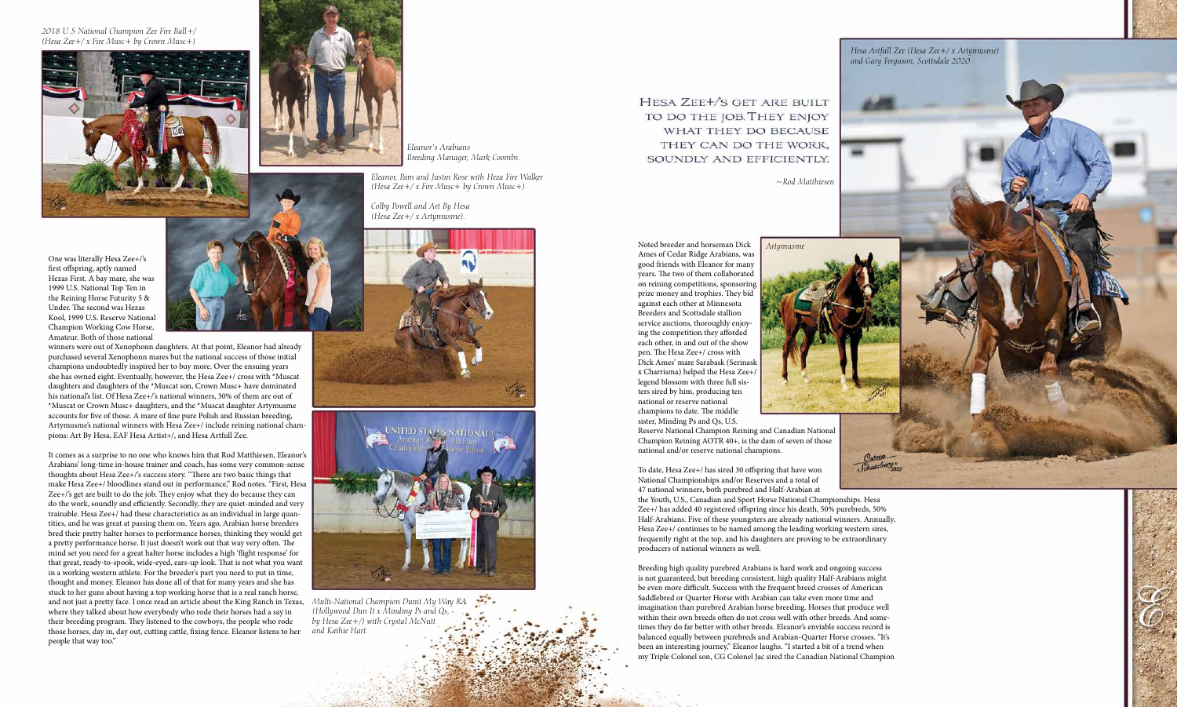One was literally Hesa Zee+/'s first offspring, aptly named Hezas First. A bay mare, she was 1999 U.S. National Top Ten in the Reining Horse Futurity 5 & Under. The second was Hezas Kool, 1999 U.S. Reserve National Champion Working Cow Horse, Amateur. Both of those national



winners were out of Xenophonn daughters. At that point, Eleanor had already purchased several Xenophonn mares but the national success of those initial champions undoubtedly inspired her to buy more. Over the ensuing years she has owned eight. Eventually, however, the Hesa Zee+/ cross with \*Muscat daughters and daughters of the \*Muscat son, Crown Musc+ have dominated his national's list. Of Hesa Zee+/'s national winners, 30% of them are out of \*Muscat or Crown Musc+ daughters, and the \*Muscat daughter Artymusme accounts for five of those. A mare of fine pure Polish and Russian breeding, Artymusme's national winners with Hesa Zee+/ include reining national champions: Art By Hesa, EAF Hesa Artist+/, and Hesa Artfull Zee.

It comes as a surprise to no one who knows him that Rod Matthiesen, Eleanor's Arabians' long-time in-house trainer and coach, has some very common-sense thoughts about Hesa Zee+/'s success story. "There are two basic things that make Hesa Zee+/ bloodlines stand out in performance," Rod notes. "First, Hesa Zee+/'s get are built to do the job. They enjoy what they do because they can do the work, soundly and efficiently. Secondly, they are quiet-minded and very trainable. Hesa Zee+/ had these characteristics as an individual in large quantities, and he was great at passing them on. Years ago, Arabian horse breeders bred their pretty halter horses to performance horses, thinking they would get a pretty performance horse. It just doesn't work out that way very often. The mind set you need for a great halter horse includes a high 'flight response' for that great, ready-to-spook, wide-eyed, ears-up look. That is not what you want in a working western athlete. For the breeder's part you need to put in time, thought and money. Eleanor has done all of that for many years and she has stuck to her guns about having a top working horse that is a real ranch horse, and not just a pretty face. I once read an article about the King Ranch in Texas, where they talked about how everybody who rode their horses had a say in their breeding program. They listened to the cowboys, the people who rode those horses, day in, day out, cutting cattle, fixing fence. Eleanor listens to her people that way too."





Osteen<br>Schatzberg To date, Hesa Zee+/ has sired 30 offspring that have won National Championships and/or Reserves and a total of 47 national winners, both purebred and Half-Arabian at the Youth, U.S., Canadian and Sport Horse National Championships. Hesa Zee+/ has added 40 registered offspring since his death, 50% purebreds, 50% Half-Arabians. Five of these youngsters are already national winners. Annually, Hesa Zee+/ continues to be named among the leading working western sires, frequently right at the top, and his daughters are proving to be extraordinary producers of national winners as well.

*Eleanor's Arabians Breeding Manager, Mark Coombs.* 

*2018 U.S National Champion Zee Fire Ball+/ (Hesa Zee+/ x Fire Musc+ by Crown Musc+)*





*Eleanor, Pam and Justin Rose with Heza Fire Walker (Hesa Zee+/ x Fire Musc+ by Crown Musc+).*

*Colby Powell and Art By Hesa (Hesa Zee+/ x Artymusme).*

*Multi-National Champion Dunit My Way RA (Hollywood Dun It x Minding Ps and Qs, by Hesa Zee+/) with Crystal McNutt and Kathie Hart.*

HESA ZEE+/S GET ARE BUILT TO DO THE JOB. THEY ENJOY WHAT THEY DO BECAUSE THEY CAN DO THE WORK. SOUNDLY AND EFFICIENTLY.

Noted breeder and horseman Dick Ames of Cedar Ridge Arabians, was good friends with Eleanor for many years. The two of them collaborated on reining competitions, sponsoring prize money and trophies. They bid against each other at Minnesota Breeders and Scottsdale stallion service auctions, thoroughly enjoying the competition they afforded each other, in and out of the show pen. The Hesa Zee+/ cross with Dick Ames' mare Sarabask (Serinask x Charrisma) helped the Hesa Zee+/ legend blossom with three full sisters sired by him, producing ten national or reserve national champions to date. The middle sister, Minding Ps and Qs, U.S. Reserve National Champion Reining and Canadian National Champion Reining AOTR 40+, is the dam of seven of those national and/or reserve national champions. *Artymusme*

Breeding high quality purebred Arabians is hard work and ongoing success is not guaranteed, but breeding consistent, high quality Half-Arabians might be even more difficult. Success with the frequent breed crosses of American Saddlebred or Quarter Horse with Arabian can take even more time and imagination than purebred Arabian horse breeding. Horses that produce well within their own breeds often do not cross well with other breeds. And sometimes they do far better with other breeds. Eleanor's enviable success record is balanced equally between purebreds and Arabian-Quarter Horse crosses. "It's been an interesting journey," Eleanor laughs. "I started a bit of a trend when my Triple Colonel son, CG Colonel Jac sired the Canadian National Champion

*Hesa Artfull Zee (Hesa Zee+/ x Artymusme) and Gary Ferguson, Scottsdale 2020.*

*~Rod Matthiesen*